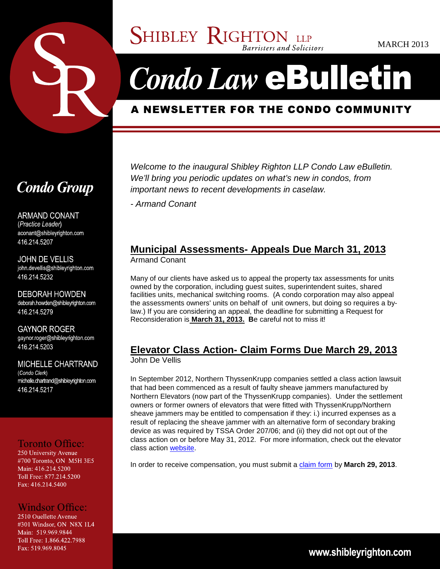

**SHIBLEY RIGHTON LLP** Barristers and Solicitors

# **Condo Law eBulletin**

# A NEWSLETTER FOR THE CONDO COMMUNITY

# **Condo Group**

**ARMAND CONANT** (Practice Leader) aconant@shibleyrighton.com 416 214 5207

**JOHN DE VELLIS** john devellis@shibleyrighton com 416.214.5232

**DEBORAH HOWDEN** deborah.howden@shibleyrighton.com 416.214.5279

**GAYNOR ROGER** gaynor.roger@shibleyrighton.com 416 214 5203

**MICHELLE CHARTRAND** (Condo Clerk) michelle.chartrand@shibleyrighton.com 416 214 5217

# **Toronto Office:**

250 University Avenue #700 Toronto, ON M5H 3E5 Main: 416.214.5200 Toll Free: 877.214.5200 Fax: 416.214.5400

# **Windsor Office:**

2510 Ouellette Avenue #301 Windsor, ON N8X 1L4 Main: 519.969.9844 Toll Free: 1.866.422.7988 Fax: 519.969.8045

Welcome to the inaugural Shibley Righton LLP Condo Law eBulletin. We'll bring you periodic updates on what's new in condos, from important news to recent developments in caselaw.

- Armand Conant

#### **Municipal Assessments- Appeals Due March 31, 2013** Armand Conant

Many of our clients have asked us to appeal the property tax assessments for units owned by the corporation, including guest suites, superintendent suites, shared facilities units, mechanical switching rooms. (A condo corporation may also appeal the assessments owners' units on behalf of unit owners, but doing so requires a bylaw.) If you are considering an appeal, the deadline for submitting a Request for Reconsideration is **March 31, 2013. B**e careful not to miss it!

#### **Elevator Class Action- Claim Forms Due March 29, 2013** John De Vellis

In September 2012, Northern ThyssenKrupp companies settled a class action lawsuit that had been commenced as a result of faulty sheave jammers manufactured by Northern Elevators (now part of the ThyssenKrupp companies). Under the settlement owners or former owners of elevators that were fitted with ThyssenKrupp/Northern sheave jammers may be entitled to compensation if they: i.) incurred expenses as a result of replacing the sheave jammer with an alternative form of secondary braking device as was required by TSSA Order 207/06; and (ii) they did not opt out of the class action on or before May 31, 2012. For more information, check out the elevator class action website.

In order to receive compensation, you must submit a claim form by **March 29, 2013**.

www.shibleyrighton.com